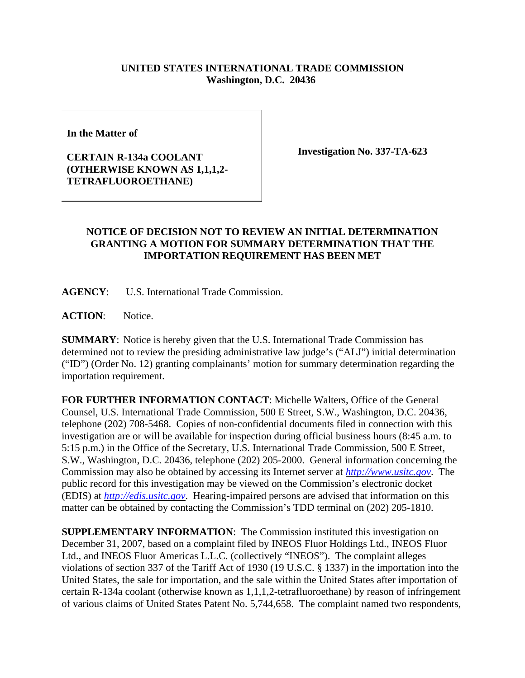## **UNITED STATES INTERNATIONAL TRADE COMMISSION Washington, D.C. 20436**

**In the Matter of** 

## **CERTAIN R-134a COOLANT (OTHERWISE KNOWN AS 1,1,1,2- TETRAFLUOROETHANE)**

**Investigation No. 337-TA-623**

## **NOTICE OF DECISION NOT TO REVIEW AN INITIAL DETERMINATION GRANTING A MOTION FOR SUMMARY DETERMINATION THAT THE IMPORTATION REQUIREMENT HAS BEEN MET**

**AGENCY**: U.S. International Trade Commission.

**ACTION**: Notice.

**SUMMARY**: Notice is hereby given that the U.S. International Trade Commission has determined not to review the presiding administrative law judge's ("ALJ") initial determination ("ID") (Order No. 12) granting complainants' motion for summary determination regarding the importation requirement.

**FOR FURTHER INFORMATION CONTACT**: Michelle Walters, Office of the General Counsel, U.S. International Trade Commission, 500 E Street, S.W., Washington, D.C. 20436, telephone (202) 708-5468. Copies of non-confidential documents filed in connection with this investigation are or will be available for inspection during official business hours (8:45 a.m. to 5:15 p.m.) in the Office of the Secretary, U.S. International Trade Commission, 500 E Street, S.W., Washington, D.C. 20436, telephone (202) 205-2000. General information concerning the Commission may also be obtained by accessing its Internet server at *http://www.usitc.gov*. The public record for this investigation may be viewed on the Commission's electronic docket (EDIS) at *http://edis.usitc.gov*. Hearing-impaired persons are advised that information on this matter can be obtained by contacting the Commission's TDD terminal on (202) 205-1810.

**SUPPLEMENTARY INFORMATION**: The Commission instituted this investigation on December 31, 2007, based on a complaint filed by INEOS Fluor Holdings Ltd., INEOS Fluor Ltd., and INEOS Fluor Americas L.L.C. (collectively "INEOS"). The complaint alleges violations of section 337 of the Tariff Act of 1930 (19 U.S.C. § 1337) in the importation into the United States, the sale for importation, and the sale within the United States after importation of certain R-134a coolant (otherwise known as 1,1,1,2-tetrafluoroethane) by reason of infringement of various claims of United States Patent No. 5,744,658. The complaint named two respondents,